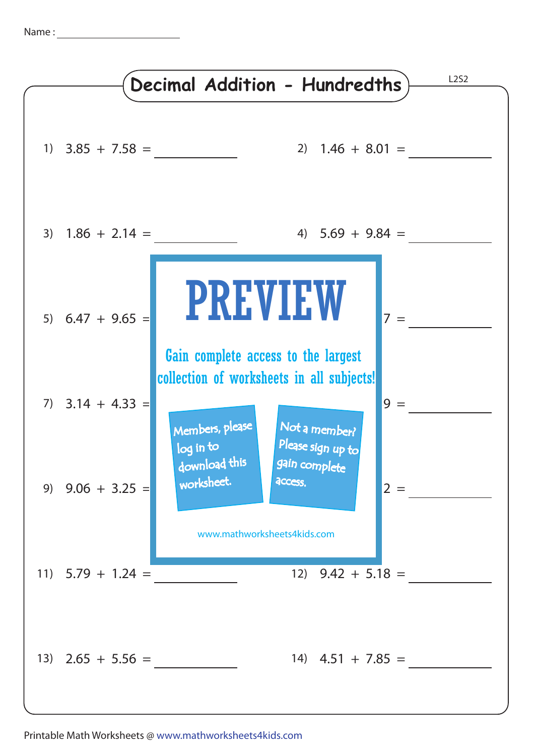